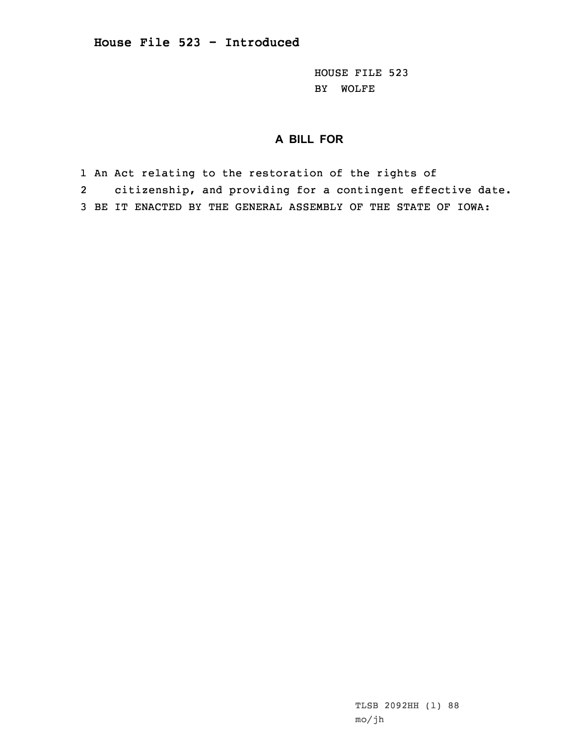HOUSE FILE 523 BY WOLFE

## **A BILL FOR**

1 An Act relating to the restoration of the rights of

2 citizenship, and providing for <sup>a</sup> contingent effective date.

3 BE IT ENACTED BY THE GENERAL ASSEMBLY OF THE STATE OF IOWA:

TLSB 2092HH (1) 88 mo/jh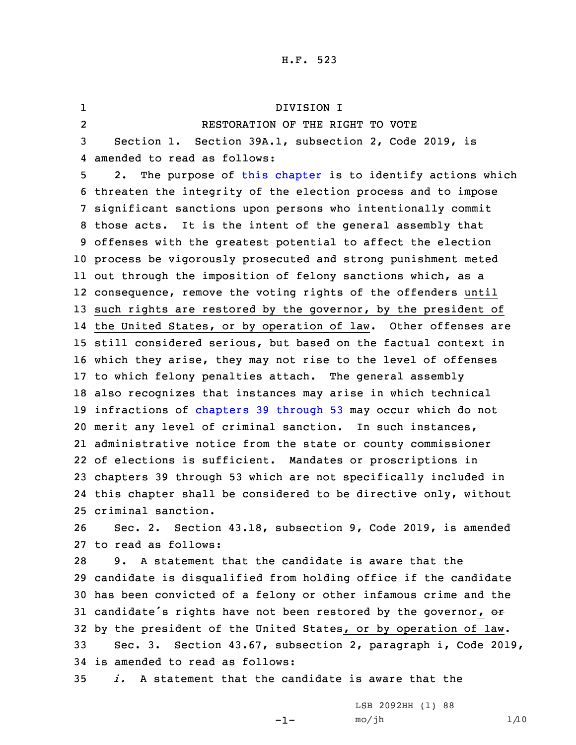## H.F. 523

1 DIVISION I 2 RESTORATION OF THE RIGHT TO VOTE Section 1. Section 39A.1, subsection 2, Code 2019, is amended to read as follows: 2. The purpose of this [chapter](https://www.legis.iowa.gov/docs/code/2019/39A.pdf) is to identify actions which threaten the integrity of the election process and to impose significant sanctions upon persons who intentionally commit those acts. It is the intent of the general assembly that offenses with the greatest potential to affect the election process be vigorously prosecuted and strong punishment meted out through the imposition of felony sanctions which, as <sup>a</sup> consequence, remove the voting rights of the offenders until such rights are restored by the governor, by the president of the United States, or by operation of law. Other offenses are still considered serious, but based on the factual context in which they arise, they may not rise to the level of offenses to which felony penalties attach. The general assembly also recognizes that instances may arise in which technical infractions of [chapters](https://www.legis.iowa.gov/docs/code/2019/39.pdf) 39 through 53 may occur which do not merit any level of criminal sanction. In such instances, administrative notice from the state or county commissioner of elections is sufficient. Mandates or proscriptions in chapters 39 through 53 which are not specifically included in this chapter shall be considered to be directive only, without criminal sanction. Sec. 2. Section 43.18, subsection 9, Code 2019, is amended to read as follows: 9. A statement that the candidate is aware that the candidate is disqualified from holding office if the candidate has been convicted of <sup>a</sup> felony or other infamous crime and the 31 candidate's rights have not been restored by the governor,  $\sigma$ r by the president of the United States, or by operation of law. Sec. 3. Section 43.67, subsection 2, paragraph i, Code 2019, is amended to read as follows: *i.* A statement that the candidate is aware that the

-1-

LSB 2092HH (1) 88  $mo/jh$  1/10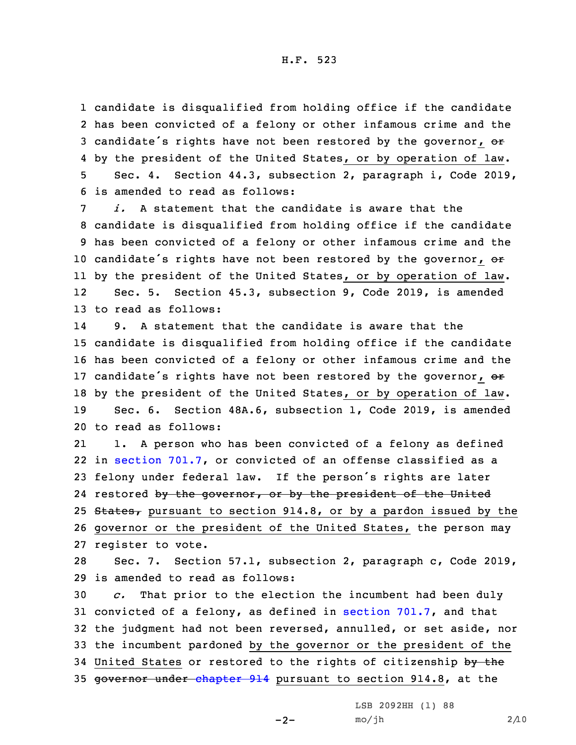H.F. 523

 candidate is disqualified from holding office if the candidate has been convicted of <sup>a</sup> felony or other infamous crime and the 3 candidate's rights have not been restored by the governor, or by the president of the United States, or by operation of law. Sec. 4. Section 44.3, subsection 2, paragraph i, Code 2019, is amended to read as follows:

 *i.* A statement that the candidate is aware that the candidate is disqualified from holding office if the candidate has been convicted of <sup>a</sup> felony or other infamous crime and the 10 candidate's rights have not been restored by the governor,  $e\mathbf{r}$  by the president of the United States, or by operation of law. 12 Sec. 5. Section 45.3, subsection 9, Code 2019, is amended to read as follows:

14 9. A statement that the candidate is aware that the candidate is disqualified from holding office if the candidate has been convicted of <sup>a</sup> felony or other infamous crime and the 17 candidate's rights have not been restored by the governor, or by the president of the United States, or by operation of law. Sec. 6. Section 48A.6, subsection 1, Code 2019, is amended to read as follows:

21 1. <sup>A</sup> person who has been convicted of <sup>a</sup> felony as defined 22 in [section](https://www.legis.iowa.gov/docs/code/2019/701.7.pdf) 701.7, or convicted of an offense classified as <sup>a</sup> <sup>23</sup> felony under federal law. If the person's rights are later 24 restored by the governor, or by the president of the United 25 States, pursuant to section 914.8, or by a pardon issued by the 26 governor or the president of the United States, the person may 27 register to vote.

28 Sec. 7. Section 57.1, subsection 2, paragraph c, Code 2019, 29 is amended to read as follows:

 *c.* That prior to the election the incumbent had been duly convicted of <sup>a</sup> felony, as defined in [section](https://www.legis.iowa.gov/docs/code/2019/701.7.pdf) 701.7, and that the judgment had not been reversed, annulled, or set aside, nor the incumbent pardoned by the governor or the president of the 34 United States or restored to the rights of citizenship by the 35 governor under [chapter](https://www.legis.iowa.gov/docs/code/2019/914.pdf) 914 pursuant to section 914.8, at the

 $-2-$ 

LSB 2092HH (1) 88  $mo/jh$  2/10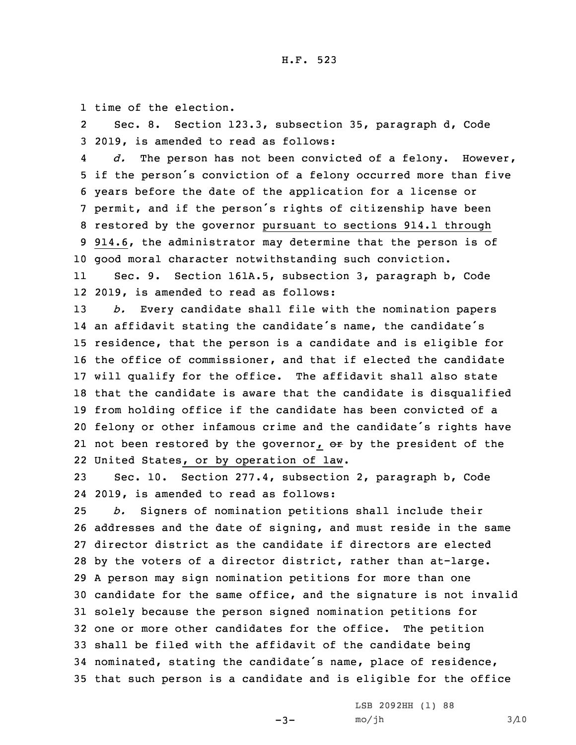1 time of the election.

2 Sec. 8. Section 123.3, subsection 35, paragraph d, Code 3 2019, is amended to read as follows:

4 *d.* The person has not been convicted of <sup>a</sup> felony. However, if the person's conviction of <sup>a</sup> felony occurred more than five years before the date of the application for <sup>a</sup> license or permit, and if the person's rights of citizenship have been restored by the governor pursuant to sections 914.1 through 914.6, the administrator may determine that the person is of good moral character notwithstanding such conviction.

11 Sec. 9. Section 161A.5, subsection 3, paragraph b, Code 12 2019, is amended to read as follows:

 *b.* Every candidate shall file with the nomination papers an affidavit stating the candidate's name, the candidate's residence, that the person is <sup>a</sup> candidate and is eligible for the office of commissioner, and that if elected the candidate will qualify for the office. The affidavit shall also state that the candidate is aware that the candidate is disqualified from holding office if the candidate has been convicted of <sup>a</sup> felony or other infamous crime and the candidate's rights have 21 not been restored by the governor, o<del>r</del> by the president of the United States, or by operation of law.

23 Sec. 10. Section 277.4, subsection 2, paragraph b, Code 24 2019, is amended to read as follows:

 *b.* Signers of nomination petitions shall include their addresses and the date of signing, and must reside in the same director district as the candidate if directors are elected by the voters of <sup>a</sup> director district, rather than at-large. <sup>A</sup> person may sign nomination petitions for more than one candidate for the same office, and the signature is not invalid solely because the person signed nomination petitions for one or more other candidates for the office. The petition shall be filed with the affidavit of the candidate being nominated, stating the candidate's name, place of residence, that such person is <sup>a</sup> candidate and is eligible for the office

 $-3-$ 

LSB 2092HH (1) 88  $mo/jh$  3/10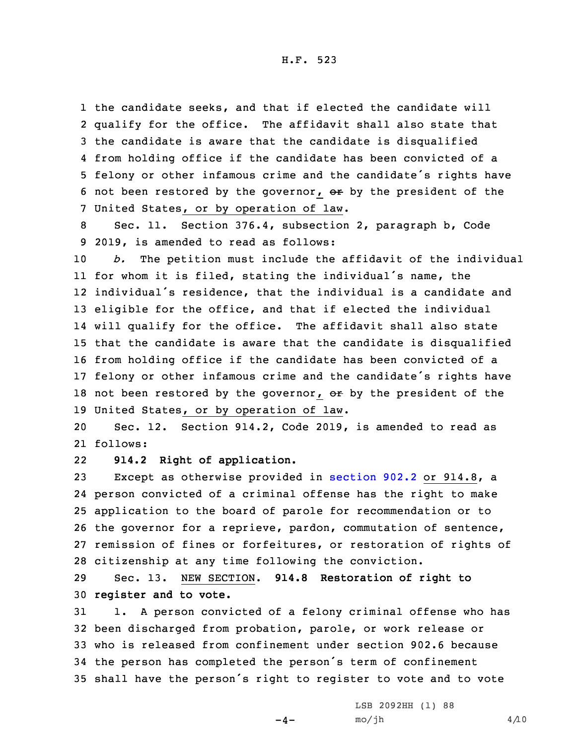H.F. 523

 the candidate seeks, and that if elected the candidate will qualify for the office. The affidavit shall also state that the candidate is aware that the candidate is disqualified from holding office if the candidate has been convicted of <sup>a</sup> felony or other infamous crime and the candidate's rights have 6 not been restored by the governor,  $er$  by the president of the United States, or by operation of law.

8 Sec. 11. Section 376.4, subsection 2, paragraph b, Code 9 2019, is amended to read as follows:

 *b.* The petition must include the affidavit of the individual for whom it is filed, stating the individual's name, the individual's residence, that the individual is <sup>a</sup> candidate and eligible for the office, and that if elected the individual will qualify for the office. The affidavit shall also state that the candidate is aware that the candidate is disqualified from holding office if the candidate has been convicted of <sup>a</sup> felony or other infamous crime and the candidate's rights have 18 not been restored by the governor,  $\sigma$ r by the president of the United States, or by operation of law.

20 Sec. 12. Section 914.2, Code 2019, is amended to read as 21 follows:

22**914.2 Right of application.**

 Except as otherwise provided in [section](https://www.legis.iowa.gov/docs/code/2019/902.2.pdf) 902.2 or 914.8, <sup>a</sup> person convicted of <sup>a</sup> criminal offense has the right to make application to the board of parole for recommendation or to the governor for <sup>a</sup> reprieve, pardon, commutation of sentence, remission of fines or forfeitures, or restoration of rights of citizenship at any time following the conviction.

29 Sec. 13. NEW SECTION. **914.8 Restoration of right to** 30 **register and to vote.**

 1. <sup>A</sup> person convicted of <sup>a</sup> felony criminal offense who has been discharged from probation, parole, or work release or who is released from confinement under section 902.6 because the person has completed the person's term of confinement shall have the person's right to register to vote and to vote

 $-4-$ 

LSB 2092HH (1) 88  $mo/jh$  4/10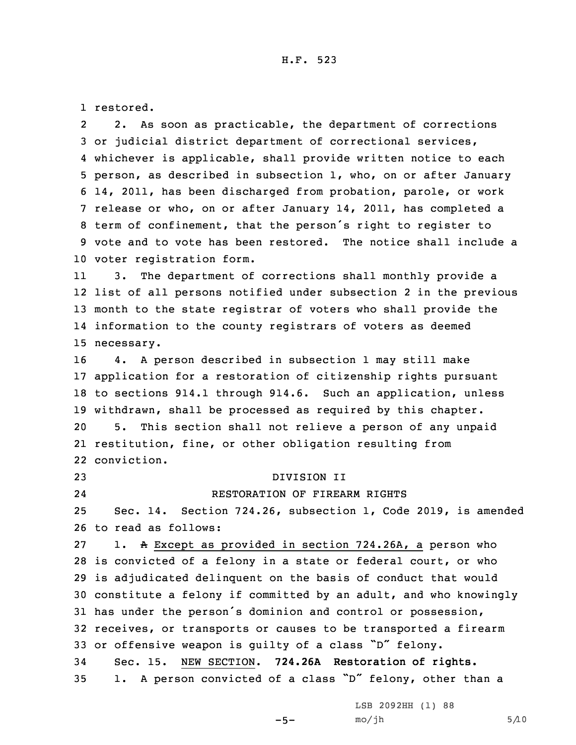1 restored.

2 2. As soon as practicable, the department of corrections or judicial district department of correctional services, whichever is applicable, shall provide written notice to each person, as described in subsection 1, who, on or after January 14, 2011, has been discharged from probation, parole, or work release or who, on or after January 14, 2011, has completed <sup>a</sup> term of confinement, that the person's right to register to vote and to vote has been restored. The notice shall include <sup>a</sup> voter registration form.

11 3. The department of corrections shall monthly provide <sup>a</sup> list of all persons notified under subsection 2 in the previous month to the state registrar of voters who shall provide the information to the county registrars of voters as deemed necessary.

 4. <sup>A</sup> person described in subsection 1 may still make application for <sup>a</sup> restoration of citizenship rights pursuant to sections 914.1 through 914.6. Such an application, unless withdrawn, shall be processed as required by this chapter. 5. This section shall not relieve <sup>a</sup> person of any unpaid restitution, fine, or other obligation resulting from conviction.

23 DIVISION II

24

## RESTORATION OF FIREARM RIGHTS

25 Sec. 14. Section 724.26, subsection 1, Code 2019, is amended 26 to read as follows:

 1. <sup>A</sup> Except as provided in section 724.26A, <sup>a</sup> person who is convicted of <sup>a</sup> felony in <sup>a</sup> state or federal court, or who is adjudicated delinquent on the basis of conduct that would constitute <sup>a</sup> felony if committed by an adult, and who knowingly has under the person's dominion and control or possession, receives, or transports or causes to be transported <sup>a</sup> firearm or offensive weapon is guilty of <sup>a</sup> class "D" felony. Sec. 15. NEW SECTION. **724.26A Restoration of rights.** 1. <sup>A</sup> person convicted of <sup>a</sup> class "D" felony, other than <sup>a</sup>

 $-5-$ 

LSB 2092HH (1) 88  $mo/jh$  5/10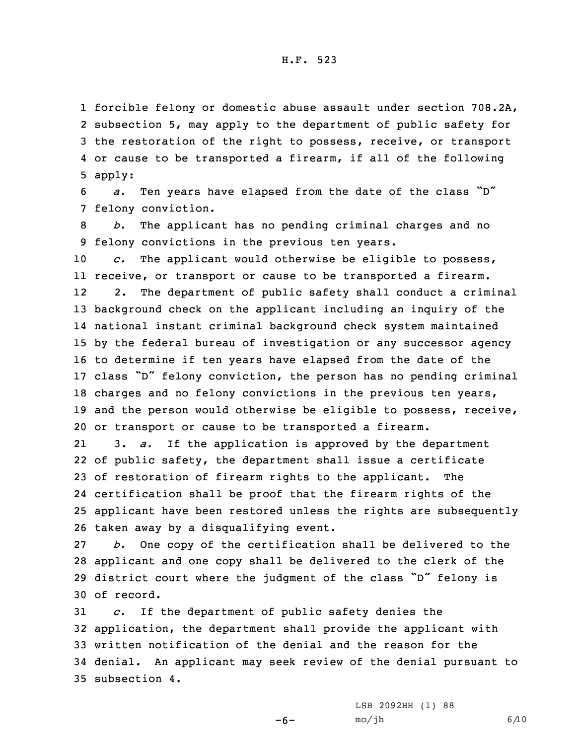forcible felony or domestic abuse assault under section 708.2A, subsection 5, may apply to the department of public safety for the restoration of the right to possess, receive, or transport or cause to be transported <sup>a</sup> firearm, if all of the following 5 apply:

<sup>6</sup> *a.* Ten years have elapsed from the date of the class "D" 7 felony conviction.

8 *b.* The applicant has no pending criminal charges and no 9 felony convictions in the previous ten years.

 *c.* The applicant would otherwise be eligible to possess, receive, or transport or cause to be transported <sup>a</sup> firearm. 12 2. The department of public safety shall conduct <sup>a</sup> criminal background check on the applicant including an inquiry of the national instant criminal background check system maintained by the federal bureau of investigation or any successor agency to determine if ten years have elapsed from the date of the class "D" felony conviction, the person has no pending criminal charges and no felony convictions in the previous ten years, and the person would otherwise be eligible to possess, receive, or transport or cause to be transported <sup>a</sup> firearm.

21 3. *a.* If the application is approved by the department of public safety, the department shall issue <sup>a</sup> certificate of restoration of firearm rights to the applicant. The certification shall be proof that the firearm rights of the applicant have been restored unless the rights are subsequently taken away by <sup>a</sup> disqualifying event.

 *b.* One copy of the certification shall be delivered to the applicant and one copy shall be delivered to the clerk of the district court where the judgment of the class "D" felony is of record.

 *c.* If the department of public safety denies the application, the department shall provide the applicant with written notification of the denial and the reason for the denial. An applicant may seek review of the denial pursuant to subsection 4.

 $-6-$ 

LSB 2092HH (1) 88  $mo/jh$  6/10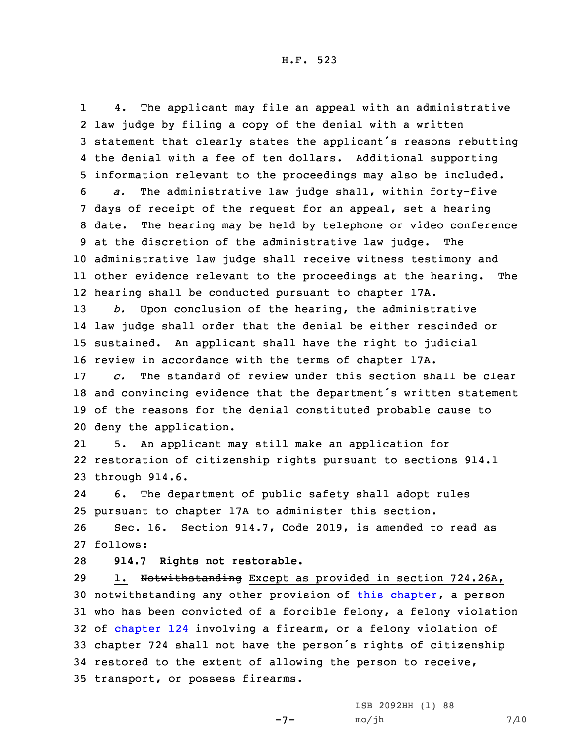1 4. The applicant may file an appeal with an administrative law judge by filing <sup>a</sup> copy of the denial with <sup>a</sup> written statement that clearly states the applicant's reasons rebutting the denial with <sup>a</sup> fee of ten dollars. Additional supporting information relevant to the proceedings may also be included. *a.* The administrative law judge shall, within forty-five days of receipt of the request for an appeal, set <sup>a</sup> hearing date. The hearing may be held by telephone or video conference at the discretion of the administrative law judge. The administrative law judge shall receive witness testimony and other evidence relevant to the proceedings at the hearing. The hearing shall be conducted pursuant to chapter 17A.

 *b.* Upon conclusion of the hearing, the administrative law judge shall order that the denial be either rescinded or sustained. An applicant shall have the right to judicial review in accordance with the terms of chapter 17A.

 *c.* The standard of review under this section shall be clear and convincing evidence that the department's written statement of the reasons for the denial constituted probable cause to deny the application.

21 5. An applicant may still make an application for 22 restoration of citizenship rights pursuant to sections 914.1 23 through 914.6.

24 6. The department of public safety shall adopt rules 25 pursuant to chapter 17A to administer this section.

26 Sec. 16. Section 914.7, Code 2019, is amended to read as 27 follows:

28 **914.7 Rights not restorable.**

29 1. Notwithstanding Except as provided in section 724.26A, notwithstanding any other provision of this [chapter](https://www.legis.iowa.gov/docs/code/2019/914.pdf), <sup>a</sup> person who has been convicted of <sup>a</sup> forcible felony, <sup>a</sup> felony violation of [chapter](https://www.legis.iowa.gov/docs/code/2019/124.pdf) 124 involving <sup>a</sup> firearm, or <sup>a</sup> felony violation of chapter 724 shall not have the person's rights of citizenship restored to the extent of allowing the person to receive, transport, or possess firearms.

 $-7-$ 

LSB 2092HH (1) 88  $mo/jh$  7/10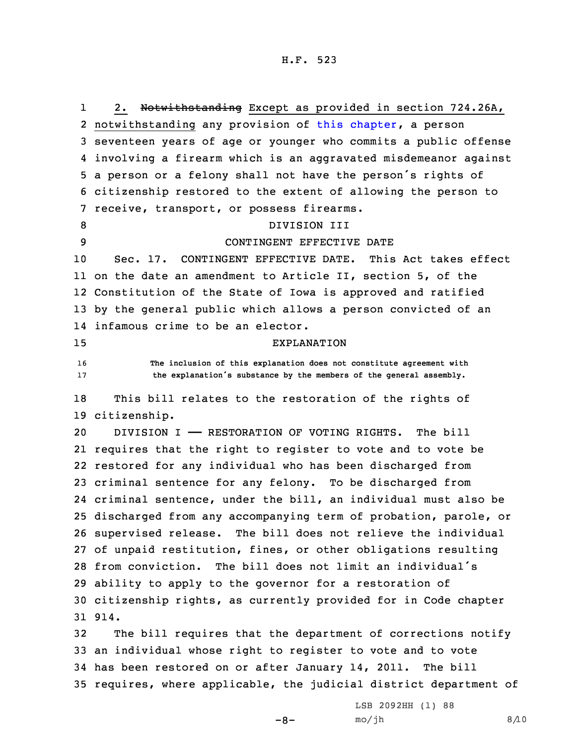1 2. Notwithstanding Except as provided in section 724.26A, notwithstanding any provision of this [chapter](https://www.legis.iowa.gov/docs/code/2019/914.pdf), <sup>a</sup> person seventeen years of age or younger who commits <sup>a</sup> public offense involving <sup>a</sup> firearm which is an aggravated misdemeanor against <sup>a</sup> person or <sup>a</sup> felony shall not have the person's rights of citizenship restored to the extent of allowing the person to receive, transport, or possess firearms. 8 DIVISION III CONTINGENT EFFECTIVE DATE Sec. 17. CONTINGENT EFFECTIVE DATE. This Act takes effect on the date an amendment to Article II, section 5, of the Constitution of the State of Iowa is approved and ratified by the general public which allows <sup>a</sup> person convicted of an infamous crime to be an elector. EXPLANATION **The inclusion of this explanation does not constitute agreement with the explanation's substance by the members of the general assembly.** This bill relates to the restoration of the rights of citizenship. DIVISION I —— RESTORATION OF VOTING RIGHTS. The bill requires that the right to register to vote and to vote be restored for any individual who has been discharged from criminal sentence for any felony. To be discharged from criminal sentence, under the bill, an individual must also be discharged from any accompanying term of probation, parole, or supervised release. The bill does not relieve the individual of unpaid restitution, fines, or other obligations resulting from conviction. The bill does not limit an individual's ability to apply to the governor for <sup>a</sup> restoration of citizenship rights, as currently provided for in Code chapter 31 914. The bill requires that the department of corrections notify an individual whose right to register to vote and to vote

34 has been restored on or after January 14, 2011. The bill 35 requires, where applicable, the judicial district department of

 $-8-$ 

LSB 2092HH (1) 88  $mo/jh$  8/10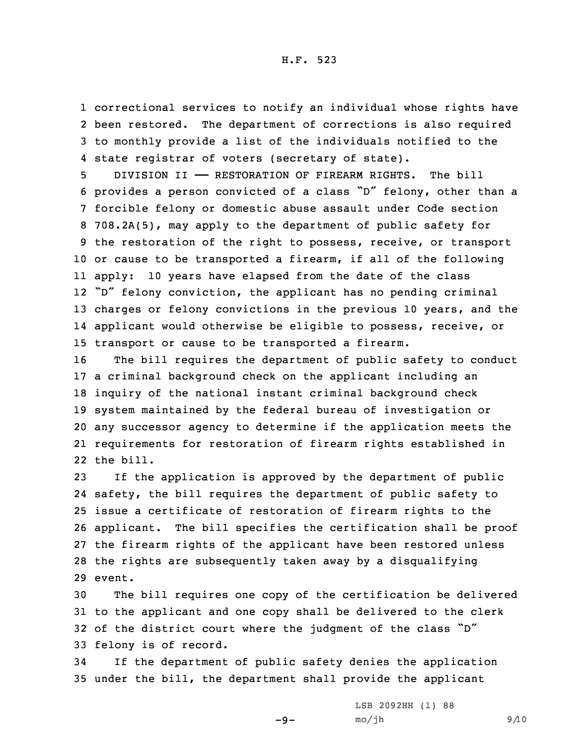correctional services to notify an individual whose rights have been restored. The department of corrections is also required to monthly provide <sup>a</sup> list of the individuals notified to the state registrar of voters (secretary of state).

 DIVISION II —— RESTORATION OF FIREARM RIGHTS. The bill provides <sup>a</sup> person convicted of <sup>a</sup> class "D" felony, other than <sup>a</sup> forcible felony or domestic abuse assault under Code section 708.2A(5), may apply to the department of public safety for the restoration of the right to possess, receive, or transport or cause to be transported <sup>a</sup> firearm, if all of the following apply: 10 years have elapsed from the date of the class "D" felony conviction, the applicant has no pending criminal charges or felony convictions in the previous 10 years, and the applicant would otherwise be eligible to possess, receive, or transport or cause to be transported <sup>a</sup> firearm.

 The bill requires the department of public safety to conduct <sup>a</sup> criminal background check on the applicant including an inquiry of the national instant criminal background check system maintained by the federal bureau of investigation or any successor agency to determine if the application meets the requirements for restoration of firearm rights established in the bill.

 If the application is approved by the department of public safety, the bill requires the department of public safety to issue <sup>a</sup> certificate of restoration of firearm rights to the applicant. The bill specifies the certification shall be proof the firearm rights of the applicant have been restored unless the rights are subsequently taken away by <sup>a</sup> disqualifying 29 event.

 The bill requires one copy of the certification be delivered to the applicant and one copy shall be delivered to the clerk of the district court where the judgment of the class "D" felony is of record.

34 If the department of public safety denies the application 35 under the bill, the department shall provide the applicant

 $-9-$ 

LSB 2092HH (1) 88  $mo/jh$  9/10